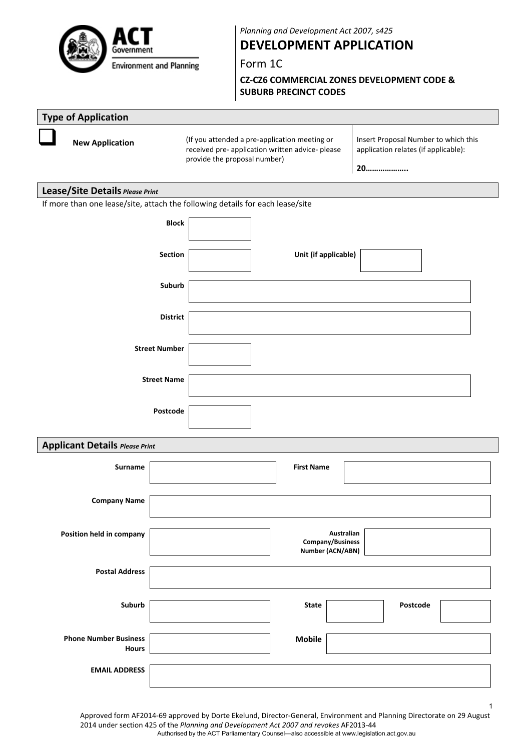

*Planning and Development Act 2007, s425*

# **DEVELOPMENT APPLICATION**

Form 1C

**CZ‐CZ6 COMMERCIAL ZONES DEVELOPMENT CODE & SUBURB PRECINCT CODES**

| <b>New Application</b>   |                                                                               |                 | (If you attended a pre-application meeting or<br>received pre- application written advice- please<br>provide the proposal number) |                      |                                                    | Insert Proposal Number to which this<br>application relates (if applicable):<br>20 |  |
|--------------------------|-------------------------------------------------------------------------------|-----------------|-----------------------------------------------------------------------------------------------------------------------------------|----------------------|----------------------------------------------------|------------------------------------------------------------------------------------|--|
|                          | Lease/Site Details Please Print                                               |                 |                                                                                                                                   |                      |                                                    |                                                                                    |  |
|                          | If more than one lease/site, attach the following details for each lease/site |                 |                                                                                                                                   |                      |                                                    |                                                                                    |  |
|                          |                                                                               | <b>Block</b>    |                                                                                                                                   |                      |                                                    |                                                                                    |  |
|                          |                                                                               | <b>Section</b>  |                                                                                                                                   | Unit (if applicable) |                                                    |                                                                                    |  |
|                          |                                                                               | Suburb          |                                                                                                                                   |                      |                                                    |                                                                                    |  |
|                          |                                                                               | <b>District</b> |                                                                                                                                   |                      |                                                    |                                                                                    |  |
|                          | <b>Street Number</b>                                                          |                 |                                                                                                                                   |                      |                                                    |                                                                                    |  |
|                          | <b>Street Name</b>                                                            |                 |                                                                                                                                   |                      |                                                    |                                                                                    |  |
|                          |                                                                               | Postcode        |                                                                                                                                   |                      |                                                    |                                                                                    |  |
|                          | <b>Applicant Details Please Print</b>                                         |                 |                                                                                                                                   |                      |                                                    |                                                                                    |  |
|                          | Surname                                                                       |                 |                                                                                                                                   | <b>First Name</b>    |                                                    |                                                                                    |  |
|                          | <b>Company Name</b>                                                           |                 |                                                                                                                                   |                      |                                                    |                                                                                    |  |
| Position held in company |                                                                               |                 |                                                                                                                                   |                      | Australian<br>Company/Business<br>Number (ACN/ABN) |                                                                                    |  |
|                          | <b>Postal Address</b>                                                         |                 |                                                                                                                                   |                      |                                                    |                                                                                    |  |
|                          | Suburb                                                                        |                 |                                                                                                                                   | <b>State</b>         |                                                    | Postcode                                                                           |  |
|                          | <b>Phone Number Business</b><br><b>Hours</b>                                  |                 |                                                                                                                                   | <b>Mobile</b>        |                                                    |                                                                                    |  |
|                          | <b>EMAIL ADDRESS</b>                                                          |                 |                                                                                                                                   |                      |                                                    |                                                                                    |  |

Approved form AF2014‐69 approved by Dorte Ekelund, Director‐General, Environment and Planning Directorate on 29 August 2014 under section 425 of the *Planning and Development Act 2007 and revokes* AF2013‐44 Authorised by the ACT Parliamentary Counsel—also accessible at www.legislation.act.gov.au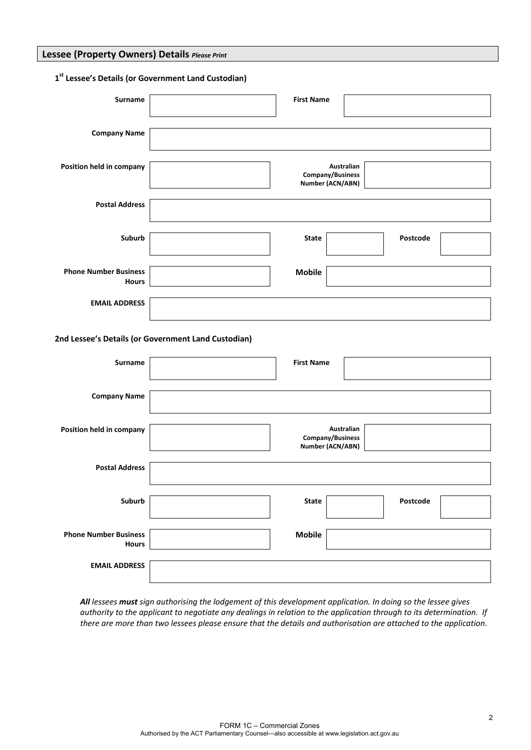### **Lessee (Property Owners) Details** *Please Print*

### **1st Lessee's Details (or Government Land Custodian)**

| <b>Surname</b>               | <b>First Name</b> |            |          |  |
|------------------------------|-------------------|------------|----------|--|
|                              |                   |            |          |  |
|                              |                   |            |          |  |
| <b>Company Name</b>          |                   |            |          |  |
|                              |                   |            |          |  |
|                              |                   |            |          |  |
| Position held in company     | Company/Business  | Australian |          |  |
|                              | Number (ACN/ABN)  |            |          |  |
|                              |                   |            |          |  |
| <b>Postal Address</b>        |                   |            |          |  |
|                              |                   |            |          |  |
|                              |                   |            |          |  |
| Suburb                       | <b>State</b>      |            | Postcode |  |
|                              |                   |            |          |  |
|                              |                   |            |          |  |
| <b>Phone Number Business</b> | <b>Mobile</b>     |            |          |  |
| <b>Hours</b>                 |                   |            |          |  |
|                              |                   |            |          |  |
| <b>EMAIL ADDRESS</b>         |                   |            |          |  |
|                              |                   |            |          |  |

### **2nd Lessee's Details (or Government Land Custodian)**

| <b>Surname</b>                               | <b>First Name</b>                                  |
|----------------------------------------------|----------------------------------------------------|
| <b>Company Name</b>                          |                                                    |
| Position held in company                     | Australian<br>Company/Business<br>Number (ACN/ABN) |
| <b>Postal Address</b>                        |                                                    |
| Suburb                                       | <b>State</b><br>Postcode                           |
| <b>Phone Number Business</b><br><b>Hours</b> | <b>Mobile</b>                                      |
| <b>EMAIL ADDRESS</b>                         |                                                    |

All lessees must sign authorising the lodgement of this development application. In doing so the lessee gives authority to the applicant to negotiate any dealings in relation to the application through to its determination. If there are more than two lessees please ensure that the details and authorisation are attached to the application.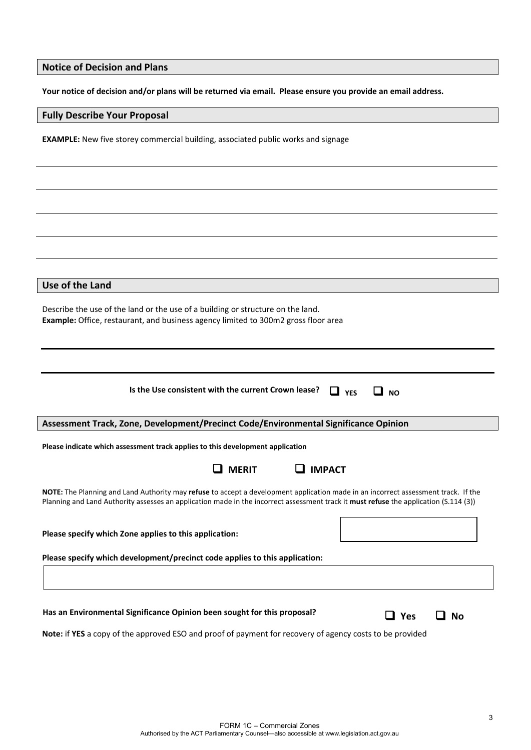# **Notice of Decision and Plans**

Your notice of decision and/or plans will be returned via email. Please ensure you provide an email address.

# **Fully Describe Your Proposal**

**EXAMPLE:** New five storey commercial building, associated public works and signage

| Use of the Land                                                                                                                                                                                                                                                             |  |  |  |
|-----------------------------------------------------------------------------------------------------------------------------------------------------------------------------------------------------------------------------------------------------------------------------|--|--|--|
| Describe the use of the land or the use of a building or structure on the land.<br>Example: Office, restaurant, and business agency limited to 300m2 gross floor area                                                                                                       |  |  |  |
|                                                                                                                                                                                                                                                                             |  |  |  |
| Is the Use consistent with the current Crown lease?<br>$\Box$ YES<br>$\Box$ NO                                                                                                                                                                                              |  |  |  |
| Assessment Track, Zone, Development/Precinct Code/Environmental Significance Opinion                                                                                                                                                                                        |  |  |  |
| Please indicate which assessment track applies to this development application                                                                                                                                                                                              |  |  |  |
| $\Box$ IMPACT<br><b>MERIT</b>                                                                                                                                                                                                                                               |  |  |  |
| NOTE: The Planning and Land Authority may refuse to accept a development application made in an incorrect assessment track. If the<br>Planning and Land Authority assesses an application made in the incorrect assessment track it must refuse the application (S.114 (3)) |  |  |  |
| Please specify which Zone applies to this application:                                                                                                                                                                                                                      |  |  |  |
| Please specify which development/precinct code applies to this application:                                                                                                                                                                                                 |  |  |  |
|                                                                                                                                                                                                                                                                             |  |  |  |
| Has an Environmental Significance Opinion been sought for this proposal?<br>$\Box$ Yes<br>No                                                                                                                                                                                |  |  |  |
| Note: if YES a copy of the approved ESO and proof of payment for recovery of agency costs to be provided                                                                                                                                                                    |  |  |  |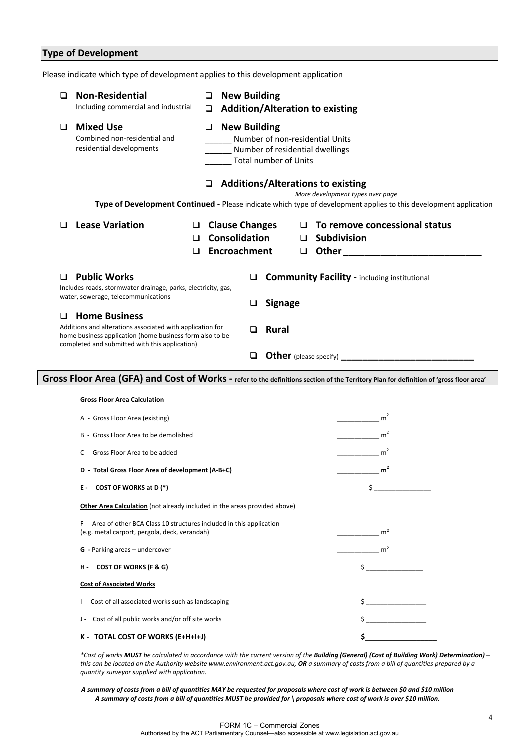|   | <b>Type of Development</b>                                                                                                                                                                      |                                                                                                                         |                                                        |                |                            |                                                                                                                                                                                                                                                                                           |
|---|-------------------------------------------------------------------------------------------------------------------------------------------------------------------------------------------------|-------------------------------------------------------------------------------------------------------------------------|--------------------------------------------------------|----------------|----------------------------|-------------------------------------------------------------------------------------------------------------------------------------------------------------------------------------------------------------------------------------------------------------------------------------------|
|   | Please indicate which type of development applies to this development application                                                                                                               |                                                                                                                         |                                                        |                |                            |                                                                                                                                                                                                                                                                                           |
| □ | <b>Non-Residential</b><br>Including commercial and industrial                                                                                                                                   | $\Box$<br>$\Box$                                                                                                        | <b>New Building</b>                                    |                |                            | <b>Addition/Alteration to existing</b>                                                                                                                                                                                                                                                    |
| ப | <b>Mixed Use</b><br>Combined non-residential and<br>residential developments                                                                                                                    | <b>New Building</b><br>❏<br>Number of non-residential Units<br>Number of residential dwellings<br>Total number of Units |                                                        |                |                            |                                                                                                                                                                                                                                                                                           |
|   |                                                                                                                                                                                                 | ❏                                                                                                                       |                                                        |                |                            | <b>Additions/Alterations to existing</b>                                                                                                                                                                                                                                                  |
|   |                                                                                                                                                                                                 |                                                                                                                         |                                                        |                |                            | More development types over page<br>Type of Development Continued - Please indicate which type of development applies to this development application                                                                                                                                     |
| □ | <b>Lease Variation</b><br>$\Box$<br>O.<br>$\Box$                                                                                                                                                |                                                                                                                         | <b>Clause Changes</b><br>Consolidation<br>Encroachment |                | $\Box$<br>$\Box$<br>$\Box$ | To remove concessional status<br><b>Subdivision</b><br><b>Other contract to the contract of the contract of the contract of the contract of the contract of the contract of the contract of the contract of the contract of the contract of the contract of the contract of the contr</b> |
| □ | <b>Public Works</b><br>Includes roads, stormwater drainage, parks, electricity, gas,                                                                                                            |                                                                                                                         | ◻                                                      |                |                            | <b>Community Facility</b> - including institutional                                                                                                                                                                                                                                       |
|   | water, sewerage, telecommunications                                                                                                                                                             |                                                                                                                         |                                                        | <b>Signage</b> |                            |                                                                                                                                                                                                                                                                                           |
| ப | <b>Home Business</b><br>Additions and alterations associated with application for<br>home business application (home business form also to be<br>completed and submitted with this application) |                                                                                                                         | □                                                      | <b>Rural</b>   |                            |                                                                                                                                                                                                                                                                                           |
|   |                                                                                                                                                                                                 |                                                                                                                         | ◻                                                      |                |                            | <b>Other</b> (please specify)                                                                                                                                                                                                                                                             |

### Gross Floor Area (GFA) and Cost of Works - refer to the definitions section of the Territory Plan for definition of 'gross floor area'

| <b>Gross Floor Area Calculation</b>                                                                                     |                     |  |  |  |  |
|-------------------------------------------------------------------------------------------------------------------------|---------------------|--|--|--|--|
| A - Gross Floor Area (existing)                                                                                         | m <sup>2</sup>      |  |  |  |  |
| B - Gross Floor Area to be demolished                                                                                   | m <sup>2</sup>      |  |  |  |  |
| C - Gross Floor Area to be added                                                                                        | m <sup>2</sup>      |  |  |  |  |
| D - Total Gross Floor Area of development (A-B+C)                                                                       | $\overline{2}$<br>m |  |  |  |  |
| COST OF WORKS at D (*)<br>Ε.                                                                                            |                     |  |  |  |  |
| Other Area Calculation (not already included in the areas provided above)                                               |                     |  |  |  |  |
| F - Area of other BCA Class 10 structures included in this application<br>(e.g. metal carport, pergola, deck, verandah) | m <sup>2</sup>      |  |  |  |  |
| <b>G</b> - Parking areas - undercover                                                                                   | m <sup>2</sup>      |  |  |  |  |
| <b>COST OF WORKS (F &amp; G)</b><br>н.                                                                                  | Ś.                  |  |  |  |  |
| <b>Cost of Associated Works</b>                                                                                         |                     |  |  |  |  |
| I - Cost of all associated works such as landscaping                                                                    |                     |  |  |  |  |
| J - Cost of all public works and/or off site works                                                                      |                     |  |  |  |  |
| K - TOTAL COST OF WORKS (E+H+I+J)                                                                                       |                     |  |  |  |  |

\*Cost of works MUST be calculated in accordance with the current version of the Building (General) (Cost of Building Work) Determination) this can be located on the Authority website www.environment.act.gov.au, OR a summary of costs from a bill of quantities prepared by a *quantity surveyor supplied with application.*

A summary of costs from a bill of quantities MAY be requested for proposals where cost of work is between \$0 and \$10 million A summary of costs from a bill of quantities MUST be provided for \ proposals where cost of work is over \$10 million.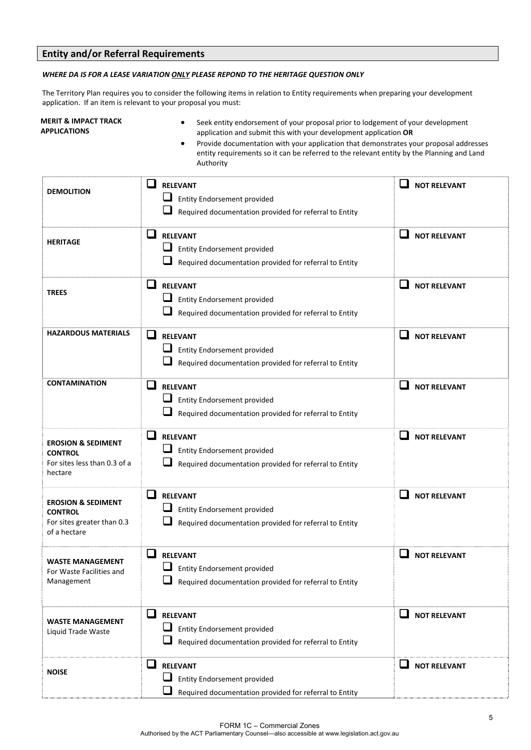# **Entity and/or Referral Requirements**

#### *WHERE DA IS FOR A LEASE VARIATION ONLY PLEASE REPOND TO THE HERITAGE QUESTION ONLY*

The Territory Plan requires you to consider the following items in relation to Entity requirements when preparing your development application. If an item is relevant to your proposal you must:

#### **MERIT & IMPACT TRACK APPLICATIONS**

- Seek entity endorsement of your proposal prior to lodgement of your development application and submit this with your development application **OR**
- Provide documentation with your application that demonstrates your proposal addresses entity requirements so it can be referred to the relevant entity by the Planning and Land Authority

| <b>DEMOLITION</b>                                                                             | $\mathbf{r}$<br><b>RELEVANT</b><br><b>Entity Endorsement provided</b><br>Required documentation provided for referral to Entity                                             | <b>NOT RELEVANT</b>      |
|-----------------------------------------------------------------------------------------------|-----------------------------------------------------------------------------------------------------------------------------------------------------------------------------|--------------------------|
| <b>HERITAGE</b>                                                                               | $\mathsf{L}% _{\mathsf{L}}\left( \mathsf{L}\right)$<br><b>RELEVANT</b><br>⊔<br><b>Entity Endorsement provided</b><br>Required documentation provided for referral to Entity | ⊔<br><b>NOT RELEVANT</b> |
| <b>TREES</b>                                                                                  | ப<br><b>RELEVANT</b><br><b>Entity Endorsement provided</b><br>Required documentation provided for referral to Entity                                                        | <b>NOT RELEVANT</b>      |
| <b>HAZARDOUS MATERIALS</b>                                                                    | $\Box$<br><b>RELEVANT</b><br><b>Entity Endorsement provided</b><br>Required documentation provided for referral to Entity                                                   | ப<br><b>NOT RELEVANT</b> |
| <b>CONTAMINATION</b>                                                                          | $\Box$<br><b>RELEVANT</b><br>⊔<br>Entity Endorsement provided<br>Required documentation provided for referral to Entity                                                     | <b>NOT RELEVANT</b>      |
| <b>EROSION &amp; SEDIMENT</b><br><b>CONTROL</b><br>For sites less than 0.3 of a<br>hectare    | ❏<br><b>RELEVANT</b><br><b>Entity Endorsement provided</b><br>Required documentation provided for referral to Entity                                                        | ப<br><b>NOT RELEVANT</b> |
| <b>EROSION &amp; SEDIMENT</b><br><b>CONTROL</b><br>For sites greater than 0.3<br>of a hectare | □<br><b>RELEVANT</b><br>Entity Endorsement provided<br>Required documentation provided for referral to Entity                                                               | ப<br><b>NOT RELEVANT</b> |
| <b>WASTE MANAGEMENT</b><br>For Waste Facilities and<br>Management                             | ப<br><b>RELEVANT</b><br><b>Entity Endorsement provided</b><br>Required documentation provided for referral to Entity                                                        | <b>NOT RELEVANT</b>      |
| <b>WASTE MANAGEMENT</b><br>Liquid Trade Waste                                                 | ⊔<br><b>RELEVANT</b><br>⊔<br><b>Entity Endorsement provided</b><br>Required documentation provided for referral to Entity                                                   | ப<br><b>NOT RELEVANT</b> |
| <b>NOISE</b>                                                                                  | $\overline{\phantom{a}}$<br><b>RELEVANT</b><br><b>Entity Endorsement provided</b><br>Required documentation provided for referral to Entity                                 | ப<br><b>NOT RELEVANT</b> |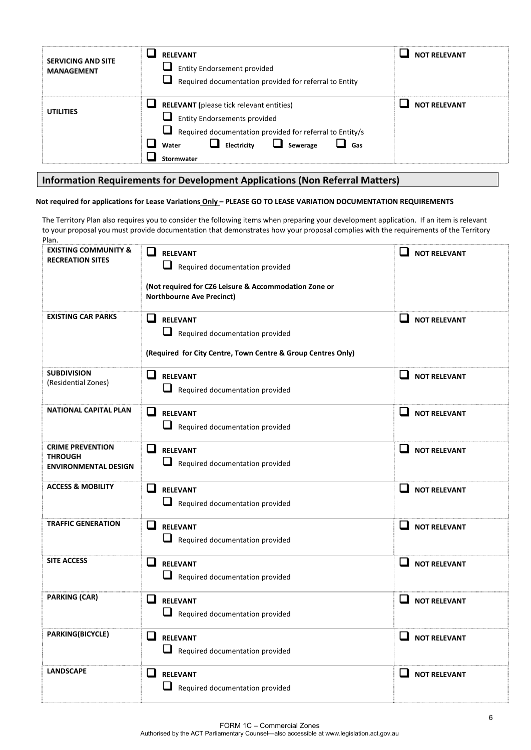| <b>SERVICING AND SITE</b><br><b>MANAGEMENT</b> | <b>RELEVANT</b><br><b>Let Entity Endorsement provided</b><br>Required documentation provided for referral to Entity                                                                                                        | <b>NOT RELEVANT</b> |
|------------------------------------------------|----------------------------------------------------------------------------------------------------------------------------------------------------------------------------------------------------------------------------|---------------------|
| <b>UTILITIES</b>                               | <b>RELEVANT</b> (please tick relevant entities)<br>$\Box$ Entity Endorsements provided<br>Required documentation provided for referral to Entity/s<br>ப<br>$\Box$<br>Sewerage<br>Electricity<br>Gas<br>Water<br>Stormwater | <b>NOT RELEVANT</b> |

# **Information Requirements for Development Applications (Non Referral Matters)**

#### Not required for applications for Lease Variations Only - PLEASE GO TO LEASE VARIATION DOCUMENTATION REQUIREMENTS

The Territory Plan also requires you to consider the following items when preparing your development application. If an item is relevant to your proposal you must provide documentation that demonstrates how your proposal complies with the requirements of the Territory Plan.

| <b>EXISTING COMMUNITY &amp;</b><br><b>RECREATION SITES</b>               | <b>RELEVANT</b><br>$\Box$ Required documentation provided<br>(Not required for CZ6 Leisure & Accommodation Zone or<br><b>Northbourne Ave Precinct)</b> | <b>NOT RELEVANT</b>                             |
|--------------------------------------------------------------------------|--------------------------------------------------------------------------------------------------------------------------------------------------------|-------------------------------------------------|
| <b>EXISTING CAR PARKS</b>                                                | <b>RELEVANT</b><br>Required documentation provided<br>(Required for City Centre, Town Centre & Group Centres Only)                                     | ப<br><b>NOT RELEVANT</b>                        |
| <b>SUBDIVISION</b><br>(Residential Zones)                                | $\Box$ RELEVANT<br>$\Box$ Required documentation provided                                                                                              | $\Box$ NOT RELEVANT                             |
| <b>NATIONAL CAPITAL PLAN</b>                                             | ப<br><b>RELEVANT</b><br>Required documentation provided                                                                                                | $\Box$ NOT RELEVANT                             |
| <b>CRIME PREVENTION</b><br><b>THROUGH</b><br><b>ENVIRONMENTAL DESIGN</b> | RELEVANT<br>Required documentation provided                                                                                                            | $\Box$ NOT RELEVANT                             |
| <b>ACCESS &amp; MOBILITY</b>                                             | ப<br><b>RELEVANT</b><br>Required documentation provided                                                                                                | <b>NOT RELEVANT</b>                             |
| <b>TRAFFIC GENERATION</b>                                                | $\mathsf{L}$<br><b>RELEVANT</b><br>Required documentation provided                                                                                     | <b>NOT RELEVANT</b>                             |
| <b>SITE ACCESS</b>                                                       | $\sqcup$<br><b>RELEVANT</b><br>Required documentation provided                                                                                         | <b>NOT RELEVANT</b><br>ப                        |
| <b>PARKING (CAR)</b>                                                     | ப<br><b>RELEVANT</b><br>Required documentation provided                                                                                                | ப<br><b>NOT RELEVANT</b>                        |
| <b>PARKING(BICYCLE)</b>                                                  | ப<br><b>RELEVANT</b><br>Required documentation provided                                                                                                | $\overline{\phantom{a}}$<br><b>NOT RELEVANT</b> |
| <b>LANDSCAPE</b>                                                         | ப<br><b>RELEVANT</b><br>Required documentation provided                                                                                                | <b>NOT RELEVANT</b>                             |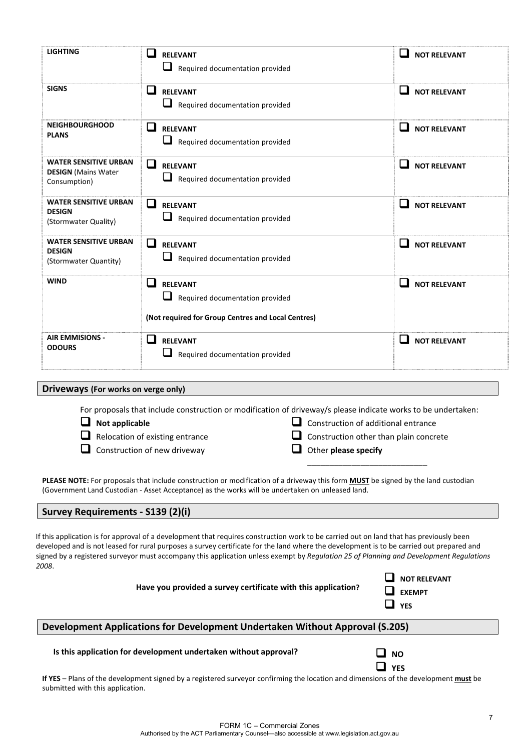| <b>LIGHTING</b>                                                            | l I<br><b>RELEVANT</b><br>Required documentation provided                                                       | <b>NOT RELEVANT</b>                 |
|----------------------------------------------------------------------------|-----------------------------------------------------------------------------------------------------------------|-------------------------------------|
| <b>SIGNS</b>                                                               | ப<br><b>RELEVANT</b><br>⊔<br>Required documentation provided                                                    | <b>NOT RELEVANT</b><br>$\mathbf{r}$ |
| <b>NEIGHBOURGHOOD</b><br><b>PLANS</b>                                      | $\mathsf{L}$<br><b>RELEVANT</b><br>Required documentation provided                                              | <b>NOT RELEVANT</b>                 |
| <b>WATER SENSITIVE URBAN</b><br><b>DESIGN</b> (Mains Water<br>Consumption) | ப<br><b>RELEVANT</b><br>Required documentation provided                                                         | <b>NOT RELEVANT</b><br>$\sim$       |
| <b>WATER SENSITIVE URBAN</b><br><b>DESIGN</b><br>(Stormwater Quality)      | l I<br><b>RELEVANT</b><br>Required documentation provided                                                       | <b>NOT RELEVANT</b>                 |
| <b>WATER SENSITIVE URBAN</b><br><b>DESIGN</b><br>(Stormwater Quantity)     | ப<br><b>RELEVANT</b><br>Required documentation provided                                                         | H<br><b>NOT RELEVANT</b>            |
| <b>WIND</b>                                                                | l I<br><b>RELEVANT</b><br>Required documentation provided<br>(Not required for Group Centres and Local Centres) | l 1<br><b>NOT RELEVANT</b>          |
| <b>AIR EMMISIONS -</b><br><b>ODOURS</b>                                    | <b>RELEVANT</b><br>Required documentation provided                                                              | <b>NOT RELEVANT</b><br>$\sim$       |

**Driveways (For works on verge only)**

For proposals that include construction or modification of driveway/s please indicate works to be undertaken:

| $\Box$ Not applicable                  | $\Box$ Construction of additional entrance    |
|----------------------------------------|-----------------------------------------------|
| $\Box$ Relocation of existing entrance | $\Box$ Construction other than plain concrete |
| $\Box$ Construction of new driveway    | $\Box$ Other please specify                   |
|                                        |                                               |

**PLEASE NOTE:** For proposals that include construction or modification of a driveway this form **MUST** be signed by the land custodian (Government Land Custodian ‐ Asset Acceptance) as the works will be undertaken on unleased land.

### **Survey Requirements ‐ S139 (2)(i)**

If this application is for approval of a development that requires construction work to be carried out on land that has previously been developed and is not leased for rural purposes a survey certificate for the land where the development is to be carried out prepared and signed by a registered surveyor must accompany this application unless exempt by *Regulation 25 of Planning and Development Regulations 2008*.

| Have you provided a survey certificate with this application? | $\Box$ NOT RELEVANT<br>$\Box$ EXEMPT<br>$\Box$ yes |
|---------------------------------------------------------------|----------------------------------------------------|
|---------------------------------------------------------------|----------------------------------------------------|

# **Development Applications for Development Undertaken Without Approval (S.205)**

### **Is this application for development undertaken without approval? NO**

| Ω<br>N<br>ı |
|-------------|
| ٧<br>- 1    |

**If YES** – Plans of the development signed by a registered surveyor confirming the location and dimensions of the development **must** be submitted with this application.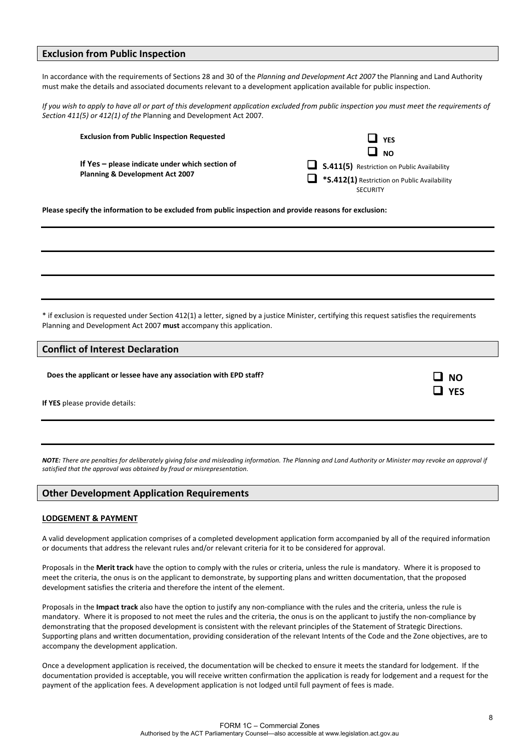### **Exclusion from Public Inspection**

In accordance with the requirements of Sections 28 and 30 of the *Planning and Development Act 2007* the Planning and Land Authority must make the details and associated documents relevant to a development application available for public inspection.

If you wish to apply to have all or part of this development application excluded from public inspection you must meet the requirements of *Section 411(5) or 412(1) of the* Planning and Development Act 2007*.*

| <b>Exclusion from Public Inspection Requested</b> | $\mathcal{L}$<br><b>YFS</b>                                         |
|---------------------------------------------------|---------------------------------------------------------------------|
|                                                   | $\Box$ No                                                           |
| If $Yes$ – please indicate under which section of | S.411(5) Restriction on Public Availability                         |
| <b>Planning &amp; Development Act 2007</b>        | $\blacksquare$ * <b>S.412(1)</b> Restriction on Public Availability |
|                                                   | <b>SECURITY</b>                                                     |

**Please specify the information to be excluded from public inspection and provide reasons for exclusion:**

\* if exclusion is requested under Section 412(1) a letter, signed by a justice Minister, certifying this request satisfies the requirements Planning and Development Act 2007 **must** accompany this application.

### **Conflict of Interest Declaration**

**Does** the applicant or lessee have any association with EPD staff?<br> **Does Does DOE** 

**If YES** please provide details:

NOTE: There are penalties for deliberately aivina false and misleadina information. The Plannina and Land Authority or Minister may revoke an approval if *satisfied that the approval was obtained by fraud or misrepresentation.*

### **Other Development Application Requirements**

#### **LODGEMENT & PAYMENT**

A valid development application comprises of a completed development application form accompanied by all of the required information or documents that address the relevant rules and/or relevant criteria for it to be considered for approval.

Proposals in the **Merit track** have the option to comply with the rules or criteria, unless the rule is mandatory. Where it is proposed to meet the criteria, the onus is on the applicant to demonstrate, by supporting plans and written documentation, that the proposed development satisfies the criteria and therefore the intent of the element.

Proposals in the **Impact track** also have the option to justify any non‐compliance with the rules and the criteria, unless the rule is mandatory. Where it is proposed to not meet the rules and the criteria, the onus is on the applicant to justify the non‐compliance by demonstrating that the proposed development is consistent with the relevant principles of the Statement of Strategic Directions. Supporting plans and written documentation, providing consideration of the relevant Intents of the Code and the Zone objectives, are to accompany the development application.

Once a development application is received, the documentation will be checked to ensure it meets the standard for lodgement. If the documentation provided is acceptable, you will receive written confirmation the application is ready for lodgement and a request for the payment of the application fees. A development application is not lodged until full payment of fees is made.

**YES**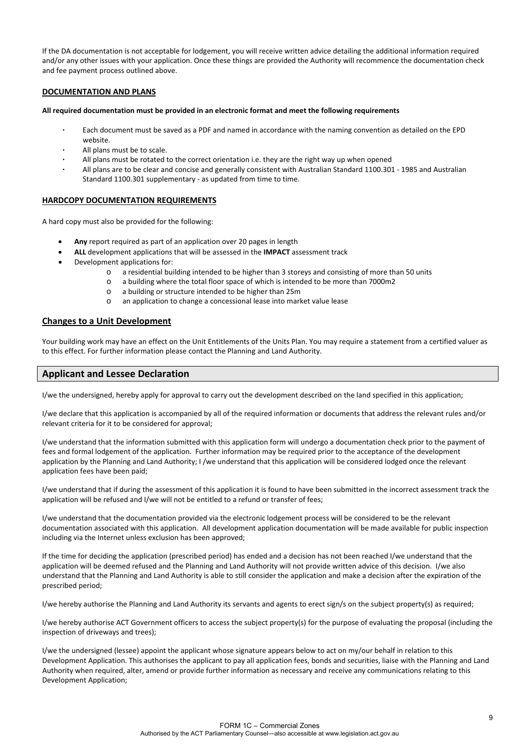If the DA documentation is not acceptable for lodgement, you will receive written advice detailing the additional information required and/or any other issues with your application. Once these things are provided the Authority will recommence the documentation check and fee payment process outlined above.

#### **DOCUMENTATION AND PLANS**

#### **All required documentation must be provided in an electronic format and meet the following requirements**

- Each document must be saved as a PDF and named in accordance with the naming convention as detailed on the EPD website.
- All plans must be to scale.
- All plans must be rotated to the correct orientation i.e. they are the right way up when opened
- All plans are to be clear and concise and generally consistent with Australian Standard 1100.301 ‐ 1985 and Australian Standard 1100.301 supplementary ‐ as updated from time to time.

#### **HARDCOPY DOCUMENTATION REQUIREMENTS**

A hard copy must also be provided for the following:

- **Any** report required as part of an application over 20 pages in length
- **ALL** development applications that will be assessed in the **IMPACT** assessment track
- Development applications for:
	- o a residential building intended to be higher than 3 storeys and consisting of more than 50 units
	- o a building where the total floor space of which is intended to be more than 7000m2
	- o a building or structure intended to be higher than 25m
	- o an application to change a concessional lease into market value lease

#### **Changes to a Unit Development**

Your building work may have an effect on the Unit Entitlements of the Units Plan. You may require a statement from a certified valuer as to this effect. For further information please contact the Planning and Land Authority.

### **Applicant and Lessee Declaration**

I/we the undersigned, hereby apply for approval to carry out the development described on the land specified in this application;

I/we declare that this application is accompanied by all of the required information or documents that address the relevant rules and/or relevant criteria for it to be considered for approval;

I/we understand that the information submitted with this application form will undergo a documentation check prior to the payment of fees and formal lodgement of the application. Further information may be required prior to the acceptance of the development application by the Planning and Land Authority; I /we understand that this application will be considered lodged once the relevant application fees have been paid;

I/we understand that if during the assessment of this application it is found to have been submitted in the incorrect assessment track the application will be refused and I/we will not be entitled to a refund or transfer of fees;

I/we understand that the documentation provided via the electronic lodgement process will be considered to be the relevant documentation associated with this application. All development application documentation will be made available for public inspection including via the Internet unless exclusion has been approved;

If the time for deciding the application (prescribed period) has ended and a decision has not been reached I/we understand that the application will be deemed refused and the Planning and Land Authority will not provide written advice of this decision. I/we also understand that the Planning and Land Authority is able to still consider the application and make a decision after the expiration of the prescribed period;

I/we hereby authorise the Planning and Land Authority its servants and agents to erect sign/s on the subject property(s) as required;

I/we hereby authorise ACT Government officers to access the subject property(s) for the purpose of evaluating the proposal (including the inspection of driveways and trees);

I/we the undersigned (lessee) appoint the applicant whose signature appears below to act on my/our behalf in relation to this Development Application. This authorises the applicant to pay all application fees, bonds and securities, liaise with the Planning and Land Authority when required, alter, amend or provide further information as necessary and receive any communications relating to this Development Application;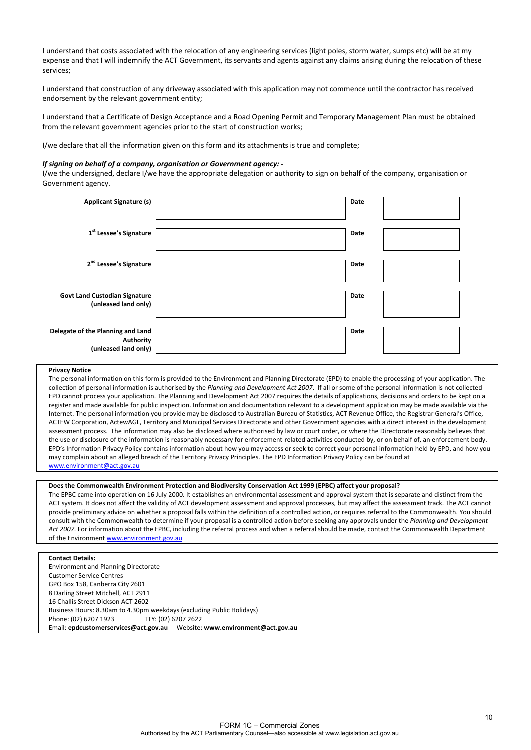I understand that costs associated with the relocation of any engineering services (light poles, storm water, sumps etc) will be at my expense and that I will indemnify the ACT Government, its servants and agents against any claims arising during the relocation of these services;

I understand that construction of any driveway associated with this application may not commence until the contractor has received endorsement by the relevant government entity;

I understand that a Certificate of Design Acceptance and a Road Opening Permit and Temporary Management Plan must be obtained from the relevant government agencies prior to the start of construction works;

I/we declare that all the information given on this form and its attachments is true and complete;

#### *If signing on behalf of a company, organisation or Government agency: ‐*

I/we the undersigned, declare I/we have the appropriate delegation or authority to sign on behalf of the company, organisation or Government agency.

| <b>Applicant Signature (s)</b>                                         | Date |  |
|------------------------------------------------------------------------|------|--|
| 1 <sup>st</sup> Lessee's Signature                                     | Date |  |
| 2 <sup>nd</sup> Lessee's Signature                                     | Date |  |
| <b>Govt Land Custodian Signature</b><br>(unleased land only)           | Date |  |
| Delegate of the Planning and Land<br>Authority<br>(unleased land only) | Date |  |

#### **Privacy Notice**

The personal information on this form is provided to the Environment and Planning Directorate (EPD) to enable the processing of your application. The collection of personal information is authorised by the *Planning and Development Act 2007*. If all or some of the personal information is not collected EPD cannot process your application. The Planning and Development Act 2007 requires the details of applications, decisions and orders to be kept on a register and made available for public inspection. Information and documentation relevant to a development application may be made available via the Internet. The personal information you provide may be disclosed to Australian Bureau of Statistics, ACT Revenue Office, the Registrar General's Office, ACTEW Corporation, ActewAGL, Territory and Municipal Services Directorate and other Government agencies with a direct interest in the development assessment process. The information may also be disclosed where authorised by law or court order, or where the Directorate reasonably believes that the use or disclosure of the information is reasonably necessary for enforcement‐related activities conducted by, or on behalf of, an enforcement body. EPD's Information Privacy Policy contains information about how you may access or seek to correct your personal information held by EPD, and how you may complain about an alleged breach of the Territory Privacy Principles. The EPD Information Privacy Policy can be found at [www.environment@act.gov.au](http://www.environment@act.gov.au/)

#### **Does the Commonwealth Environment Protection and Biodiversity Conservation Act 1999 (EPBC) affect your proposal?**

The EPBC came into operation on 16 July 2000. It establishes an environmental assessment and approval system that is separate and distinct from the ACT system. It does not affect the validity of ACT development assessment and approval processes, but may affect the assessment track. The ACT cannot provide preliminary advice on whether a proposal falls within the definition of a controlled action, or requires referral to the Commonwealth. You should consult with the Commonwealth to determine if your proposal is a controlled action before seeking any approvals under the *Planning and Development Act 2007*. For information about the EPBC, including the referral process and when a referral should be made, contact the Commonwealth Department of the Environment [www.environment.gov.au](http://www.environment.gov.au/)

#### **Contact Details:**

Environment and Planning Directorate Customer Service Centres GPO Box 158, Canberra City 2601 8 Darling Street Mitchell, ACT 2911 16 Challis Street Dickson ACT 2602 Business Hours: 8.30am to 4.30pm weekdays (excluding Public Holidays) Phone: (02) 6207 1923 TTY: (02) 6207 2622 Email: **epdcustomerservices@act.gov.au** Website: **www.environment@act.gov.au**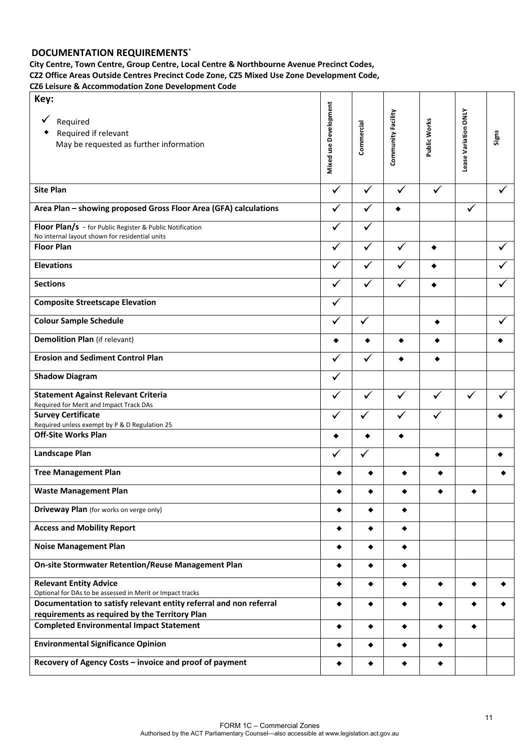# **DOCUMENTATION REQUIREMENTS`**

**City Centre, Town Centre, Group Centre, Local Centre & Northbourne Avenue Precinct Codes, CZ2 Office Areas Outside Centres Precinct Code Zone, CZ5 Mixed Use Zone Development Code, CZ6 Leisure & Accommodation Zone Development Code**

| Key:<br>Required<br>Required if relevant<br>May be requested as further information                                  | Mixed use Development | Commercial   | Community Facility | Public Works | Lease Variation ONLY | Signs |
|----------------------------------------------------------------------------------------------------------------------|-----------------------|--------------|--------------------|--------------|----------------------|-------|
| <b>Site Plan</b>                                                                                                     | $\checkmark$          | ✓            | ✓                  | ✓            |                      |       |
| Area Plan - showing proposed Gross Floor Area (GFA) calculations                                                     | ✓                     | ✓            |                    |              | $\checkmark$         |       |
| Floor Plan/s - for Public Register & Public Notification<br>No internal layout shown for residential units           | ✓                     | $\checkmark$ |                    |              |                      |       |
| <b>Floor Plan</b>                                                                                                    | ✓                     | ✓            | ✓                  | ٠            |                      |       |
| <b>Elevations</b>                                                                                                    | ✓                     | $\checkmark$ | ✓                  |              |                      |       |
| <b>Sections</b>                                                                                                      | ✓                     | $\checkmark$ | ✓                  |              |                      |       |
| <b>Composite Streetscape Elevation</b>                                                                               | $\checkmark$          |              |                    |              |                      |       |
| <b>Colour Sample Schedule</b>                                                                                        |                       | $\checkmark$ |                    | ٠            |                      |       |
| <b>Demolition Plan (if relevant)</b>                                                                                 |                       |              | ٠                  |              |                      |       |
| <b>Erosion and Sediment Control Plan</b>                                                                             | ✓                     | ✓            |                    |              |                      |       |
| <b>Shadow Diagram</b>                                                                                                | ✓                     |              |                    |              |                      |       |
| <b>Statement Against Relevant Criteria</b><br>Required for Merit and Impact Track DAs                                |                       | ✓            | ✓                  |              | ✓                    |       |
| <b>Survey Certificate</b><br>Required unless exempt by P & D Regulation 25                                           | ✓                     | ✓            | $\checkmark$       | ✓            |                      |       |
| <b>Off-Site Works Plan</b>                                                                                           | ٠                     | ٠            | ٠                  |              |                      |       |
| Landscape Plan                                                                                                       |                       | ✓            |                    |              |                      |       |
| <b>Tree Management Plan</b>                                                                                          |                       |              |                    |              |                      |       |
| <b>Waste Management Plan</b>                                                                                         |                       |              |                    |              |                      |       |
| <b>Driveway Plan</b> (for works on verge only)                                                                       | ٠                     |              | ٠                  |              |                      |       |
| <b>Access and Mobility Report</b>                                                                                    | ٠                     | ٠            | ٠                  |              |                      |       |
| <b>Noise Management Plan</b>                                                                                         | ٠                     | ٠            | $\bullet$          |              |                      |       |
| <b>On-site Stormwater Retention/Reuse Management Plan</b>                                                            | ٠                     | ٠            | ٠                  |              |                      |       |
| <b>Relevant Entity Advice</b><br>Optional for DAs to be assessed in Merit or Impact tracks                           | ٠                     | ٠            | ٠                  | ٠            |                      |       |
| Documentation to satisfy relevant entity referral and non referral<br>requirements as required by the Territory Plan | ٠                     | ٠            |                    | ٠            |                      |       |
| <b>Completed Environmental Impact Statement</b>                                                                      | ٠                     | ٠            | ٠                  | ٠            | ٠                    |       |
| <b>Environmental Significance Opinion</b>                                                                            | ٠                     | ٠            |                    | ٠            |                      |       |
| Recovery of Agency Costs - invoice and proof of payment                                                              |                       |              |                    | ٠            |                      |       |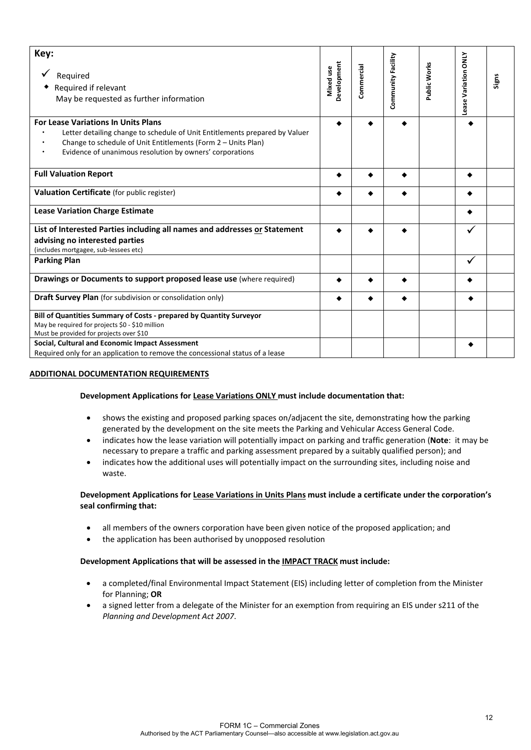| Key:<br>Required<br>Required if relevant<br>May be requested as further information                                                                                                                                                                    | Development<br>Mixed use | Commercial | Community Facility | Public Works | Lease Variation ONLY | Signs |
|--------------------------------------------------------------------------------------------------------------------------------------------------------------------------------------------------------------------------------------------------------|--------------------------|------------|--------------------|--------------|----------------------|-------|
| <b>For Lease Variations In Units Plans</b><br>Letter detailing change to schedule of Unit Entitlements prepared by Valuer<br>Change to schedule of Unit Entitlements (Form 2 - Units Plan)<br>Evidence of unanimous resolution by owners' corporations |                          |            |                    |              |                      |       |
| <b>Full Valuation Report</b>                                                                                                                                                                                                                           |                          |            |                    |              |                      |       |
| Valuation Certificate (for public register)                                                                                                                                                                                                            |                          |            |                    |              |                      |       |
| <b>Lease Variation Charge Estimate</b>                                                                                                                                                                                                                 |                          |            |                    |              |                      |       |
| List of Interested Parties including all names and addresses or Statement<br>advising no interested parties<br>(includes mortgagee, sub-lessees etc)                                                                                                   |                          |            |                    |              |                      |       |
| <b>Parking Plan</b>                                                                                                                                                                                                                                    |                          |            |                    |              |                      |       |
| Drawings or Documents to support proposed lease use (where required)                                                                                                                                                                                   |                          |            |                    |              |                      |       |
| <b>Draft Survey Plan</b> (for subdivision or consolidation only)                                                                                                                                                                                       |                          |            |                    |              |                      |       |
| Bill of Quantities Summary of Costs - prepared by Quantity Surveyor<br>May be required for projects \$0 - \$10 million<br>Must be provided for projects over \$10                                                                                      |                          |            |                    |              |                      |       |
| Social, Cultural and Economic Impact Assessment<br>Required only for an application to remove the concessional status of a lease                                                                                                                       |                          |            |                    |              |                      |       |

### **ADDITIONAL DOCUMENTATION REQUIREMENTS**

### **Development Applications for Lease Variations ONLY must include documentation that:**

- shows the existing and proposed parking spaces on/adjacent the site, demonstrating how the parking generated by the development on the site meets the Parking and Vehicular Access General Code.
- indicates how the lease variation will potentially impact on parking and traffic generation (**Note**: it may be necessary to prepare a traffic and parking assessment prepared by a suitably qualified person); and
- indicates how the additional uses will potentially impact on the surrounding sites, including noise and waste.

### **Development Applications for Lease Variations in Units Plans must include a certificate under the corporation's seal confirming that:**

- all members of the owners corporation have been given notice of the proposed application; and
- the application has been authorised by unopposed resolution

### **Development Applications that will be assessed in the IMPACT TRACK must include:**

- a completed/final Environmental Impact Statement (EIS) including letter of completion from the Minister for Planning; **OR**
- a signed letter from a delegate of the Minister for an exemption from requiring an EIS under s211 of the *Planning and Development Act 2007*.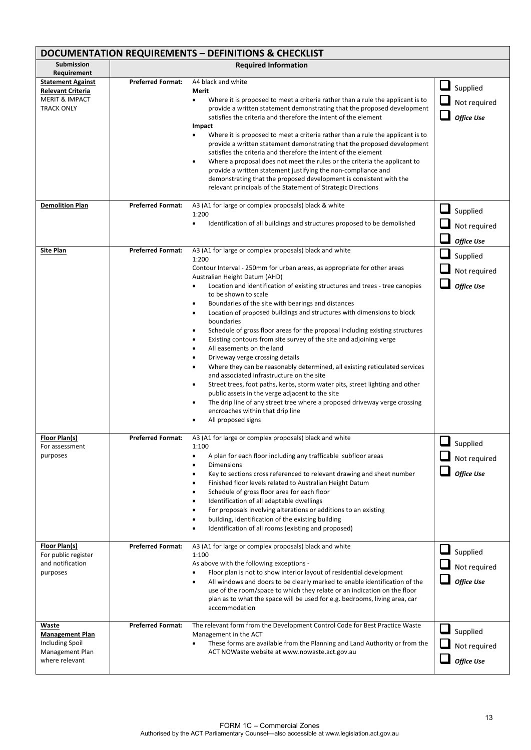| DOCUMENTATION REQUIREMENTS - DEFINITIONS & CHECKLIST                                                   |                          |                                                                                                                                                                                                                                                                                                                                                                                                                                                                                                                                                                                                                                                                                                                                                                                                                                                                                                                                                                                                                                                                                                                                                                                    |                                                      |  |
|--------------------------------------------------------------------------------------------------------|--------------------------|------------------------------------------------------------------------------------------------------------------------------------------------------------------------------------------------------------------------------------------------------------------------------------------------------------------------------------------------------------------------------------------------------------------------------------------------------------------------------------------------------------------------------------------------------------------------------------------------------------------------------------------------------------------------------------------------------------------------------------------------------------------------------------------------------------------------------------------------------------------------------------------------------------------------------------------------------------------------------------------------------------------------------------------------------------------------------------------------------------------------------------------------------------------------------------|------------------------------------------------------|--|
| Submission<br>Requirement                                                                              |                          | <b>Required Information</b>                                                                                                                                                                                                                                                                                                                                                                                                                                                                                                                                                                                                                                                                                                                                                                                                                                                                                                                                                                                                                                                                                                                                                        |                                                      |  |
| <b>Statement Against</b><br><b>Relevant Criteria</b><br><b>MERIT &amp; IMPACT</b><br><b>TRACK ONLY</b> | <b>Preferred Format:</b> | A4 black and white<br>Merit<br>Where it is proposed to meet a criteria rather than a rule the applicant is to<br>$\bullet$<br>provide a written statement demonstrating that the proposed development<br>satisfies the criteria and therefore the intent of the element<br>Impact<br>Where it is proposed to meet a criteria rather than a rule the applicant is to<br>provide a written statement demonstrating that the proposed development<br>satisfies the criteria and therefore the intent of the element<br>Where a proposal does not meet the rules or the criteria the applicant to<br>$\bullet$<br>provide a written statement justifying the non-compliance and<br>demonstrating that the proposed development is consistent with the<br>relevant principals of the Statement of Strategic Directions                                                                                                                                                                                                                                                                                                                                                                  | Supplied<br>Not required<br><b>Office Use</b>        |  |
| <b>Demolition Plan</b>                                                                                 | <b>Preferred Format:</b> | A3 (A1 for large or complex proposals) black & white<br>1:200<br>Identification of all buildings and structures proposed to be demolished<br>$\bullet$                                                                                                                                                                                                                                                                                                                                                                                                                                                                                                                                                                                                                                                                                                                                                                                                                                                                                                                                                                                                                             | Supplied<br>Not required<br><b>Office Use</b>        |  |
| <b>Site Plan</b>                                                                                       | <b>Preferred Format:</b> | A3 (A1 for large or complex proposals) black and white<br>1:200<br>Contour Interval - 250mm for urban areas, as appropriate for other areas<br>Australian Height Datum (AHD)<br>Location and identification of existing structures and trees - tree canopies<br>to be shown to scale<br>Boundaries of the site with bearings and distances<br>$\bullet$<br>Location of proposed buildings and structures with dimensions to block<br>$\bullet$<br>boundaries<br>Schedule of gross floor areas for the proposal including existing structures<br>$\bullet$<br>Existing contours from site survey of the site and adjoining verge<br>$\bullet$<br>All easements on the land<br>$\bullet$<br>Driveway verge crossing details<br>$\bullet$<br>Where they can be reasonably determined, all existing reticulated services<br>$\bullet$<br>and associated infrastructure on the site<br>Street trees, foot paths, kerbs, storm water pits, street lighting and other<br>$\bullet$<br>public assets in the verge adjacent to the site<br>The drip line of any street tree where a proposed driveway verge crossing<br>$\bullet$<br>encroaches within that drip line<br>All proposed signs | Supplied<br>Not required<br><b>Office Use</b>        |  |
| Floor Plan(s)<br>For assessment<br>purposes                                                            | <b>Preferred Format:</b> | A3 (A1 for large or complex proposals) black and white<br>1:100<br>A plan for each floor including any trafficable subfloor areas<br>$\bullet$<br><b>Dimensions</b><br>Key to sections cross referenced to relevant drawing and sheet number<br>Finished floor levels related to Australian Height Datum<br>$\bullet$<br>Schedule of gross floor area for each floor<br>$\bullet$<br>Identification of all adaptable dwellings<br>$\bullet$<br>For proposals involving alterations or additions to an existing<br>building, identification of the existing building<br>$\bullet$<br>Identification of all rooms (existing and proposed)                                                                                                                                                                                                                                                                                                                                                                                                                                                                                                                                            | Supplied<br>Not required<br><b>Office Use</b>        |  |
| Floor Plan(s)<br>For public register<br>and notification<br>purposes                                   | <b>Preferred Format:</b> | A3 (A1 for large or complex proposals) black and white<br>1:100<br>As above with the following exceptions -<br>Floor plan is not to show interior layout of residential development<br>All windows and doors to be clearly marked to enable identification of the<br>use of the room/space to which they relate or an indication on the floor<br>plan as to what the space will be used for e.g. bedrooms, living area, car<br>accommodation                                                                                                                                                                                                                                                                                                                                                                                                                                                                                                                                                                                                                                                                                                                                       | Supplied<br>Not required<br><b>Office Use</b>        |  |
| Waste<br><b>Management Plan</b><br>Including Spoil<br>Management Plan<br>where relevant                | <b>Preferred Format:</b> | The relevant form from the Development Control Code for Best Practice Waste<br>Management in the ACT<br>These forms are available from the Planning and Land Authority or from the<br>ACT NOWaste website at www.nowaste.act.gov.au                                                                                                                                                                                                                                                                                                                                                                                                                                                                                                                                                                                                                                                                                                                                                                                                                                                                                                                                                | $\Box$ Supplied<br>Not required<br><b>Office Use</b> |  |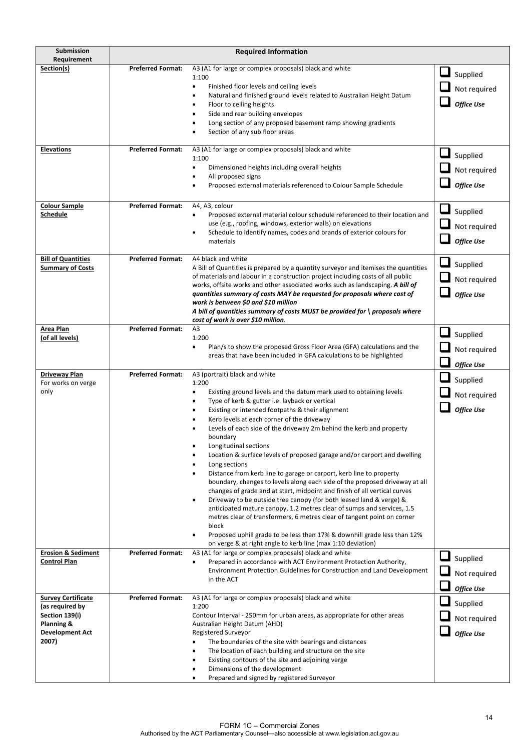| Submission<br>Requirement                                                                                       | <b>Required Information</b>                          |                                                                                                                                                                                                                                                                                                                                                                                                                                                                                                                                                                                                                                                                                                                                                                                                                                                                                                                                                                                                                                                                                                                                                                                                              |                                                           |
|-----------------------------------------------------------------------------------------------------------------|------------------------------------------------------|--------------------------------------------------------------------------------------------------------------------------------------------------------------------------------------------------------------------------------------------------------------------------------------------------------------------------------------------------------------------------------------------------------------------------------------------------------------------------------------------------------------------------------------------------------------------------------------------------------------------------------------------------------------------------------------------------------------------------------------------------------------------------------------------------------------------------------------------------------------------------------------------------------------------------------------------------------------------------------------------------------------------------------------------------------------------------------------------------------------------------------------------------------------------------------------------------------------|-----------------------------------------------------------|
| Section(s)                                                                                                      | <b>Preferred Format:</b>                             | A3 (A1 for large or complex proposals) black and white<br>1:100<br>$\bullet$<br>Finished floor levels and ceiling levels<br>Natural and finished ground levels related to Australian Height Datum<br>٠<br>Floor to ceiling heights<br>٠<br>Side and rear building envelopes<br>٠<br>Long section of any proposed basement ramp showing gradients<br>Section of any sub floor areas                                                                                                                                                                                                                                                                                                                                                                                                                                                                                                                                                                                                                                                                                                                                                                                                                           | Supplied<br>Not required<br><b>Office Use</b>             |
| <b>Elevations</b>                                                                                               | <b>Preferred Format:</b>                             | A3 (A1 for large or complex proposals) black and white<br>1:100<br>$\bullet$<br>Dimensioned heights including overall heights<br>All proposed signs<br>$\bullet$<br>Proposed external materials referenced to Colour Sample Schedule                                                                                                                                                                                                                                                                                                                                                                                                                                                                                                                                                                                                                                                                                                                                                                                                                                                                                                                                                                         | Supplied<br>Not required<br><b>Office Use</b>             |
| <b>Colour Sample</b><br>Schedule                                                                                | <b>Preferred Format:</b>                             | A4, A3, colour<br>Proposed external material colour schedule referenced to their location and<br>٠<br>use (e.g., roofing, windows, exterior walls) on elevations<br>Schedule to identify names, codes and brands of exterior colours for<br>materials                                                                                                                                                                                                                                                                                                                                                                                                                                                                                                                                                                                                                                                                                                                                                                                                                                                                                                                                                        | Supplied<br>Not required<br><b>Office Use</b>             |
| <b>Bill of Quantities</b><br><b>Summary of Costs</b>                                                            | <b>Preferred Format:</b>                             | A4 black and white<br>A Bill of Quantities is prepared by a quantity surveyor and itemises the quantities<br>of materials and labour in a construction project including costs of all public<br>works, offsite works and other associated works such as landscaping. A bill of<br>quantities summary of costs MAY be requested for proposals where cost of<br>work is between \$0 and \$10 million<br>A bill of quantities summary of costs MUST be provided for \ proposals where<br>cost of work is over \$10 million.                                                                                                                                                                                                                                                                                                                                                                                                                                                                                                                                                                                                                                                                                     | Supplied<br>Not required<br><b>Office Use</b>             |
| Area Plan<br>(of all levels)                                                                                    | <b>Preferred Format:</b>                             | A <sub>3</sub><br>1:200<br>Plan/s to show the proposed Gross Floor Area (GFA) calculations and the<br>٠<br>areas that have been included in GFA calculations to be highlighted                                                                                                                                                                                                                                                                                                                                                                                                                                                                                                                                                                                                                                                                                                                                                                                                                                                                                                                                                                                                                               | Supplied<br>Not required<br>Office Use                    |
| <b>Driveway Plan</b><br>For works on verge<br>only<br><b>Erosion &amp; Sediment</b>                             | <b>Preferred Format:</b><br><b>Preferred Format:</b> | A3 (portrait) black and white<br>1:200<br>$\bullet$<br>Existing ground levels and the datum mark used to obtaining levels<br>Type of kerb & gutter i.e. layback or vertical<br>٠<br>Existing or intended footpaths & their alignment<br>٠<br>Kerb levels at each corner of the driveway<br>Levels of each side of the driveway 2m behind the kerb and property<br>$\bullet$<br>boundary<br>Longitudinal sections<br>Location & surface levels of proposed garage and/or carport and dwelling<br>$\bullet$<br>Long sections<br>Distance from kerb line to garage or carport, kerb line to property<br>boundary, changes to levels along each side of the proposed driveway at all<br>changes of grade and at start, midpoint and finish of all vertical curves<br>Driveway to be outside tree canopy (for both leased land & verge) &<br>anticipated mature canopy, 1.2 metres clear of sumps and services, 1.5<br>metres clear of transformers, 6 metres clear of tangent point on corner<br>block<br>Proposed uphill grade to be less than 17% & downhill grade less than 12%<br>٠<br>on verge & at right angle to kerb line (max 1:10 deviation)<br>A3 (A1 for large or complex proposals) black and white | Supplied<br>Not required<br><b>Office Use</b>             |
| <b>Control Plan</b>                                                                                             |                                                      | Prepared in accordance with ACT Environment Protection Authority,<br>$\bullet$<br>Environment Protection Guidelines for Construction and Land Development<br>in the ACT                                                                                                                                                                                                                                                                                                                                                                                                                                                                                                                                                                                                                                                                                                                                                                                                                                                                                                                                                                                                                                      | $\sqcup$<br>Supplied<br>Not required<br><b>Office Use</b> |
| <b>Survey Certificate</b><br>(as required by<br>Section 139(i)<br>Planning &<br><b>Development Act</b><br>2007) | <b>Preferred Format:</b>                             | A3 (A1 for large or complex proposals) black and white<br>1:200<br>Contour Interval - 250mm for urban areas, as appropriate for other areas<br>Australian Height Datum (AHD)<br>Registered Surveyor<br>The boundaries of the site with bearings and distances<br>$\bullet$<br>The location of each building and structure on the site<br>Existing contours of the site and adjoining verge<br>Dimensions of the development<br>٠<br>Prepared and signed by registered Surveyor<br>$\bullet$                                                                                                                                                                                                                                                                                                                                                                                                                                                                                                                                                                                                                                                                                                                  | Supplied<br>Not required<br><b>Office Use</b>             |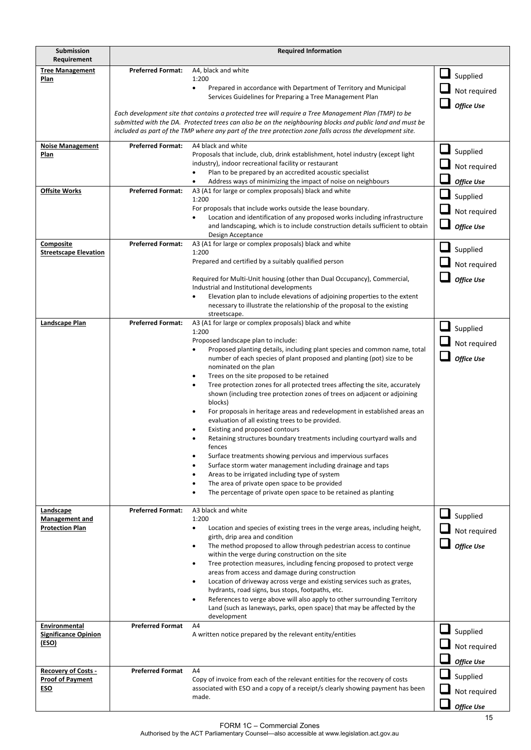| Submission                                            | <b>Required Information</b> |                                                                                                                                                                                                                   |                   |
|-------------------------------------------------------|-----------------------------|-------------------------------------------------------------------------------------------------------------------------------------------------------------------------------------------------------------------|-------------------|
| Requirement<br><b>Tree Management</b>                 | <b>Preferred Format:</b>    | A4, black and white                                                                                                                                                                                               |                   |
| Plan                                                  |                             | 1:200                                                                                                                                                                                                             | Supplied          |
|                                                       |                             | Prepared in accordance with Department of Territory and Municipal<br>$\bullet$<br>Services Guidelines for Preparing a Tree Management Plan                                                                        | Not required      |
|                                                       |                             |                                                                                                                                                                                                                   | <b>Office Use</b> |
|                                                       |                             | Each development site that contains a protected tree will require a Tree Management Plan (TMP) to be<br>submitted with the DA. Protected trees can also be on the neighbouring blocks and public land and must be |                   |
|                                                       |                             | included as part of the TMP where any part of the tree protection zone falls across the development site.                                                                                                         |                   |
| <b>Noise Management</b>                               | <b>Preferred Format:</b>    | A4 black and white                                                                                                                                                                                                |                   |
| Plan                                                  |                             | Proposals that include, club, drink establishment, hotel industry (except light                                                                                                                                   | Supplied          |
|                                                       |                             | industry), indoor recreational facility or restaurant<br>Plan to be prepared by an accredited acoustic specialist<br>$\bullet$                                                                                    | Not required      |
|                                                       |                             | Address ways of minimizing the impact of noise on neighbours                                                                                                                                                      | <b>Office Use</b> |
| <b>Offsite Works</b>                                  | <b>Preferred Format:</b>    | A3 (A1 for large or complex proposals) black and white<br>1:200                                                                                                                                                   | Supplied          |
|                                                       |                             | For proposals that include works outside the lease boundary.                                                                                                                                                      | Not required      |
|                                                       |                             | Location and identification of any proposed works including infrastructure<br>and landscaping, which is to include construction details sufficient to obtain                                                      | <b>Office Use</b> |
|                                                       |                             | Design Acceptance                                                                                                                                                                                                 |                   |
| Composite<br><b>Streetscape Elevation</b>             | <b>Preferred Format:</b>    | A3 (A1 for large or complex proposals) black and white<br>1:200                                                                                                                                                   | Supplied          |
|                                                       |                             | Prepared and certified by a suitably qualified person                                                                                                                                                             | Not required      |
|                                                       |                             | Required for Multi-Unit housing (other than Dual Occupancy), Commercial,                                                                                                                                          | <b>Office Use</b> |
|                                                       |                             | Industrial and Institutional developments                                                                                                                                                                         |                   |
|                                                       |                             | Elevation plan to include elevations of adjoining properties to the extent                                                                                                                                        |                   |
|                                                       |                             | necessary to illustrate the relationship of the proposal to the existing<br>streetscape.                                                                                                                          |                   |
| Landscape Plan                                        | <b>Preferred Format:</b>    | A3 (A1 for large or complex proposals) black and white                                                                                                                                                            | Supplied          |
|                                                       |                             | 1:200<br>Proposed landscape plan to include:                                                                                                                                                                      | Not required      |
|                                                       |                             | Proposed planting details, including plant species and common name, total                                                                                                                                         |                   |
|                                                       |                             | number of each species of plant proposed and planting (pot) size to be<br>nominated on the plan                                                                                                                   | <b>Office Use</b> |
|                                                       |                             | Trees on the site proposed to be retained                                                                                                                                                                         |                   |
|                                                       |                             | Tree protection zones for all protected trees affecting the site, accurately<br>shown (including tree protection zones of trees on adjacent or adjoining                                                          |                   |
|                                                       |                             | blocks)                                                                                                                                                                                                           |                   |
|                                                       |                             | For proposals in heritage areas and redevelopment in established areas an<br>evaluation of all existing trees to be provided.                                                                                     |                   |
|                                                       |                             | Existing and proposed contours                                                                                                                                                                                    |                   |
|                                                       |                             | Retaining structures boundary treatments including courtyard walls and                                                                                                                                            |                   |
|                                                       |                             | tences<br>Surface treatments showing pervious and impervious surfaces                                                                                                                                             |                   |
|                                                       |                             | Surface storm water management including drainage and taps                                                                                                                                                        |                   |
|                                                       |                             | Areas to be irrigated including type of system<br>The area of private open space to be provided                                                                                                                   |                   |
|                                                       |                             | The percentage of private open space to be retained as planting                                                                                                                                                   |                   |
| Landscape                                             | <b>Preferred Format:</b>    | A3 black and white                                                                                                                                                                                                |                   |
| Management and                                        |                             | 1:200                                                                                                                                                                                                             | $\Box$ Supplied   |
| <b>Protection Plan</b>                                |                             | Location and species of existing trees in the verge areas, including height,<br>$\bullet$<br>girth, drip area and condition                                                                                       | Not required      |
|                                                       |                             | The method proposed to allow through pedestrian access to continue<br>$\bullet$                                                                                                                                   | <b>Office Use</b> |
|                                                       |                             | within the verge during construction on the site                                                                                                                                                                  |                   |
|                                                       |                             | Tree protection measures, including fencing proposed to protect verge<br>areas from access and damage during construction                                                                                         |                   |
|                                                       |                             | Location of driveway across verge and existing services such as grates,                                                                                                                                           |                   |
|                                                       |                             | hydrants, road signs, bus stops, footpaths, etc.<br>References to verge above will also apply to other surrounding Territory<br>$\bullet$                                                                         |                   |
|                                                       |                             | Land (such as laneways, parks, open space) that may be affected by the                                                                                                                                            |                   |
| Environmental                                         | <b>Preferred Format</b>     | development<br>A4                                                                                                                                                                                                 |                   |
| <b>Significance Opinion</b>                           |                             | A written notice prepared by the relevant entity/entities                                                                                                                                                         | Supplied          |
| (ESO)                                                 |                             |                                                                                                                                                                                                                   | Not required      |
|                                                       |                             |                                                                                                                                                                                                                   | Office Use        |
| <b>Recovery of Costs -</b><br><b>Proof of Payment</b> | <b>Preferred Format</b>     | A4<br>Copy of invoice from each of the relevant entities for the recovery of costs                                                                                                                                | Supplied          |
| ESO                                                   |                             | associated with ESO and a copy of a receipt/s clearly showing payment has been                                                                                                                                    | Not required      |
|                                                       |                             | made.                                                                                                                                                                                                             |                   |
|                                                       |                             |                                                                                                                                                                                                                   | <b>Office Use</b> |

FORM 1C – Commercial Zones Authorised by the ACT Parliamentary Counsel—also accessible at www.legislation.act.gov.au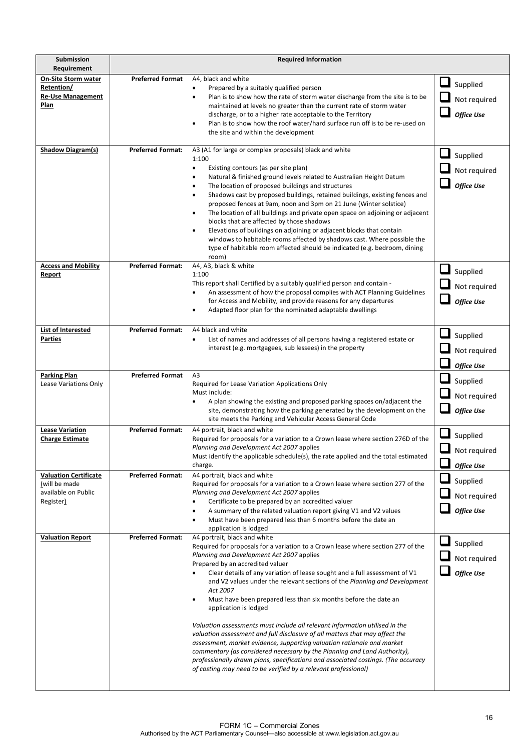| Submission                                       |                          | <b>Required Information</b>                                                                                                                          |                    |
|--------------------------------------------------|--------------------------|------------------------------------------------------------------------------------------------------------------------------------------------------|--------------------|
| Requirement                                      |                          |                                                                                                                                                      |                    |
| <b>On-Site Storm water</b><br>Retention/         | <b>Preferred Format</b>  | A4, black and white<br>Prepared by a suitably qualified person                                                                                       | $\Box$<br>Supplied |
| <b>Re-Use Management</b>                         |                          | Plan is to show how the rate of storm water discharge from the site is to be<br>$\bullet$                                                            | Not required       |
| Plan                                             |                          | maintained at levels no greater than the current rate of storm water                                                                                 | <b>Office Use</b>  |
|                                                  |                          | discharge, or to a higher rate acceptable to the Territory<br>Plan is to show how the roof water/hard surface run off is to be re-used on            |                    |
|                                                  |                          | the site and within the development                                                                                                                  |                    |
| Shadow Diagram(s)                                | <b>Preferred Format:</b> | A3 (A1 for large or complex proposals) black and white                                                                                               |                    |
|                                                  |                          | 1:100                                                                                                                                                | Supplied           |
|                                                  |                          | Existing contours (as per site plan)<br>٠<br>Natural & finished ground levels related to Australian Height Datum<br>$\bullet$                        | Not required       |
|                                                  |                          | The location of proposed buildings and structures<br>$\bullet$                                                                                       | <b>Office Use</b>  |
|                                                  |                          | Shadows cast by proposed buildings, retained buildings, existing fences and<br>$\bullet$                                                             |                    |
|                                                  |                          | proposed fences at 9am, noon and 3pm on 21 June (Winter solstice)<br>The location of all buildings and private open space on adjoining or adjacent   |                    |
|                                                  |                          | blocks that are affected by those shadows                                                                                                            |                    |
|                                                  |                          | Elevations of buildings on adjoining or adjacent blocks that contain<br>٠                                                                            |                    |
|                                                  |                          | windows to habitable rooms affected by shadows cast. Where possible the<br>type of habitable room affected should be indicated (e.g. bedroom, dining |                    |
|                                                  |                          | room)                                                                                                                                                |                    |
| <b>Access and Mobility</b><br>Report             | <b>Preferred Format:</b> | A4, A3, black & white<br>1:100                                                                                                                       | Supplied           |
|                                                  |                          | This report shall Certified by a suitably qualified person and contain -                                                                             | Not required       |
|                                                  |                          | An assessment of how the proposal complies with ACT Planning Guidelines<br>for Access and Mobility, and provide reasons for any departures           |                    |
|                                                  |                          | Adapted floor plan for the nominated adaptable dwellings                                                                                             | <b>Office Use</b>  |
|                                                  |                          |                                                                                                                                                      |                    |
| List of Interested                               | <b>Preferred Format:</b> | A4 black and white                                                                                                                                   | Supplied           |
| <u>Parties</u>                                   |                          | List of names and addresses of all persons having a registered estate or<br>٠<br>interest (e.g. mortgagees, sub lessees) in the property             | Not required       |
|                                                  |                          |                                                                                                                                                      |                    |
| <b>Parking Plan</b>                              | <b>Preferred Format</b>  | A <sub>3</sub>                                                                                                                                       | <b>Office Use</b>  |
| Lease Variations Only                            |                          | Required for Lease Variation Applications Only                                                                                                       | Supplied           |
|                                                  |                          | Must include:<br>A plan showing the existing and proposed parking spaces on/adjacent the<br>$\bullet$                                                | Not required       |
|                                                  |                          | site, demonstrating how the parking generated by the development on the                                                                              | <b>Office Use</b>  |
|                                                  |                          | site meets the Parking and Vehicular Access General Code                                                                                             |                    |
| <b>Lease Variation</b><br><b>Charge Estimate</b> | <b>Preferred Format:</b> | A4 portrait, black and white<br>Required for proposals for a variation to a Crown lease where section 276D of the                                    | Supplied           |
|                                                  |                          | Planning and Development Act 2007 applies                                                                                                            | Not required       |
|                                                  |                          | Must identify the applicable schedule(s), the rate applied and the total estimated<br>charge.                                                        |                    |
| <b>Valuation Certificate</b>                     | <b>Preferred Format:</b> | A4 portrait, black and white                                                                                                                         | <b>Office Use</b>  |
| (will be made                                    |                          | Required for proposals for a variation to a Crown lease where section 277 of the                                                                     | Supplied           |
| available on Public<br>Register)                 |                          | Planning and Development Act 2007 applies<br>Certificate to be prepared by an accredited valuer                                                      | Not required       |
|                                                  |                          | A summary of the related valuation report giving V1 and V2 values<br>$\bullet$                                                                       | <b>Office Use</b>  |
|                                                  |                          | Must have been prepared less than 6 months before the date an                                                                                        |                    |
| <b>Valuation Report</b>                          | <b>Preferred Format:</b> | application is lodged<br>A4 portrait, black and white                                                                                                |                    |
|                                                  |                          | Required for proposals for a variation to a Crown lease where section 277 of the                                                                     | Supplied           |
|                                                  |                          | Planning and Development Act 2007 applies<br>Prepared by an accredited valuer                                                                        | Not required       |
|                                                  |                          | Clear details of any variation of lease sought and a full assessment of V1                                                                           | <b>Office Use</b>  |
|                                                  |                          | and V2 values under the relevant sections of the Planning and Development<br>Act 2007                                                                |                    |
|                                                  |                          | Must have been prepared less than six months before the date an<br>٠                                                                                 |                    |
|                                                  |                          | application is lodged                                                                                                                                |                    |
|                                                  |                          | Valuation assessments must include all relevant information utilised in the                                                                          |                    |
|                                                  |                          | valuation assessment and full disclosure of all matters that may affect the                                                                          |                    |
|                                                  |                          | assessment, market evidence, supporting valuation rationale and market<br>commentary (as considered necessary by the Planning and Land Authority),   |                    |
|                                                  |                          | professionally drawn plans, specifications and associated costings. (The accuracy                                                                    |                    |
|                                                  |                          | of costing may need to be verified by a relevant professional)                                                                                       |                    |
|                                                  |                          |                                                                                                                                                      |                    |